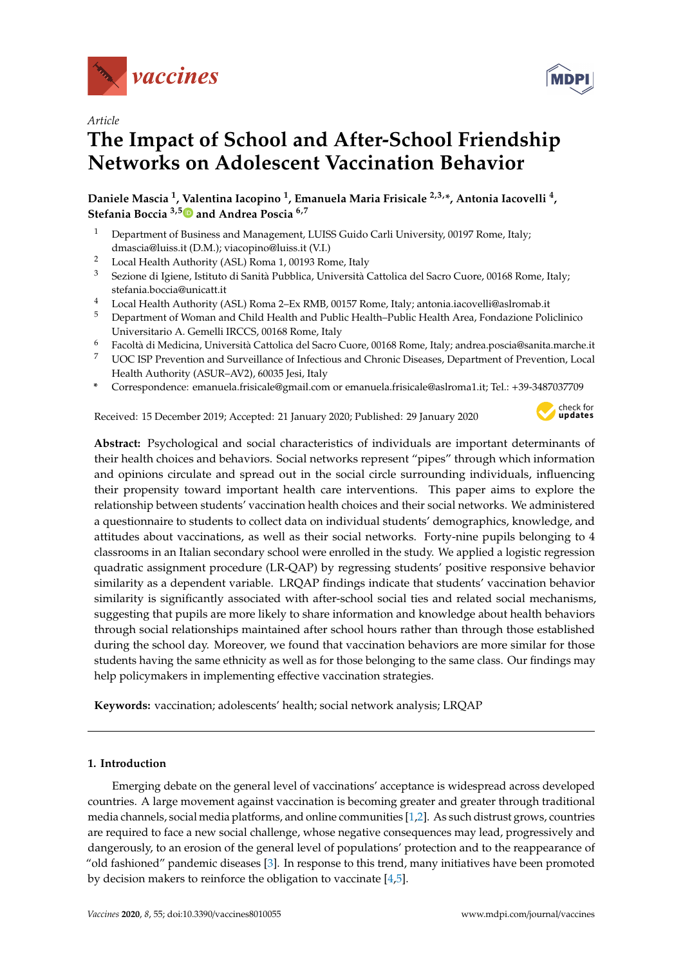

*Article*





# **The Impact of School and After-School Friendship Networks on Adolescent Vaccination Behavior**

**Daniele Mascia <sup>1</sup> , Valentina Iacopino <sup>1</sup> , Emanuela Maria Frisicale 2,3,\*, Antonia Iacovelli <sup>4</sup> , Stefania Boccia 3,[5](https://orcid.org/0000-0002-1864-749X) and Andrea Poscia 6,7**

- <sup>1</sup> Department of Business and Management, LUISS Guido Carli University, 00197 Rome, Italy; dmascia@luiss.it (D.M.); viacopino@luiss.it (V.I.)
- <sup>2</sup> Local Health Authority (ASL) Roma 1, 00193 Rome, Italy  $\frac{3}{2}$  Sections di Isiane, Italius di Sanità Bubblica Università 6
- <sup>3</sup> Sezione di Igiene, Istituto di Sanità Pubblica, Università Cattolica del Sacro Cuore, 00168 Rome, Italy; stefania.boccia@unicatt.it
- <sup>4</sup> Local Health Authority (ASL) Roma 2–Ex RMB, 00157 Rome, Italy; antonia.iacovelli@aslromab.it
- <sup>5</sup> Department of Woman and Child Health and Public Health–Public Health Area, Fondazione Policlinico Universitario A. Gemelli IRCCS, 00168 Rome, Italy
- <sup>6</sup> Facoltà di Medicina, Università Cattolica del Sacro Cuore, 00168 Rome, Italy; andrea.poscia@sanita.marche.it
- <sup>7</sup> UOC ISP Prevention and Surveillance of Infectious and Chronic Diseases, Department of Prevention, Local Health Authority (ASUR–AV2), 60035 Jesi, Italy
- **\*** Correspondence: emanuela.frisicale@gmail.com or emanuela.frisicale@aslroma1.it; Tel.: +39-3487037709

Received: 15 December 2019; Accepted: 21 January 2020; Published: 29 January 2020



**Abstract:** Psychological and social characteristics of individuals are important determinants of their health choices and behaviors. Social networks represent "pipes" through which information and opinions circulate and spread out in the social circle surrounding individuals, influencing their propensity toward important health care interventions. This paper aims to explore the relationship between students' vaccination health choices and their social networks. We administered a questionnaire to students to collect data on individual students' demographics, knowledge, and attitudes about vaccinations, as well as their social networks. Forty-nine pupils belonging to 4 classrooms in an Italian secondary school were enrolled in the study. We applied a logistic regression quadratic assignment procedure (LR-QAP) by regressing students' positive responsive behavior similarity as a dependent variable. LRQAP findings indicate that students' vaccination behavior similarity is significantly associated with after-school social ties and related social mechanisms, suggesting that pupils are more likely to share information and knowledge about health behaviors through social relationships maintained after school hours rather than through those established during the school day. Moreover, we found that vaccination behaviors are more similar for those students having the same ethnicity as well as for those belonging to the same class. Our findings may help policymakers in implementing effective vaccination strategies.

**Keywords:** vaccination; adolescents' health; social network analysis; LRQAP

# **1. Introduction**

Emerging debate on the general level of vaccinations' acceptance is widespread across developed countries. A large movement against vaccination is becoming greater and greater through traditional media channels, social media platforms, and online communities [\[1](#page-11-0)[,2\]](#page-11-1). As such distrust grows, countries are required to face a new social challenge, whose negative consequences may lead, progressively and dangerously, to an erosion of the general level of populations' protection and to the reappearance of "old fashioned" pandemic diseases [\[3\]](#page-11-2). In response to this trend, many initiatives have been promoted by decision makers to reinforce the obligation to vaccinate [\[4,](#page-11-3)[5\]](#page-11-4).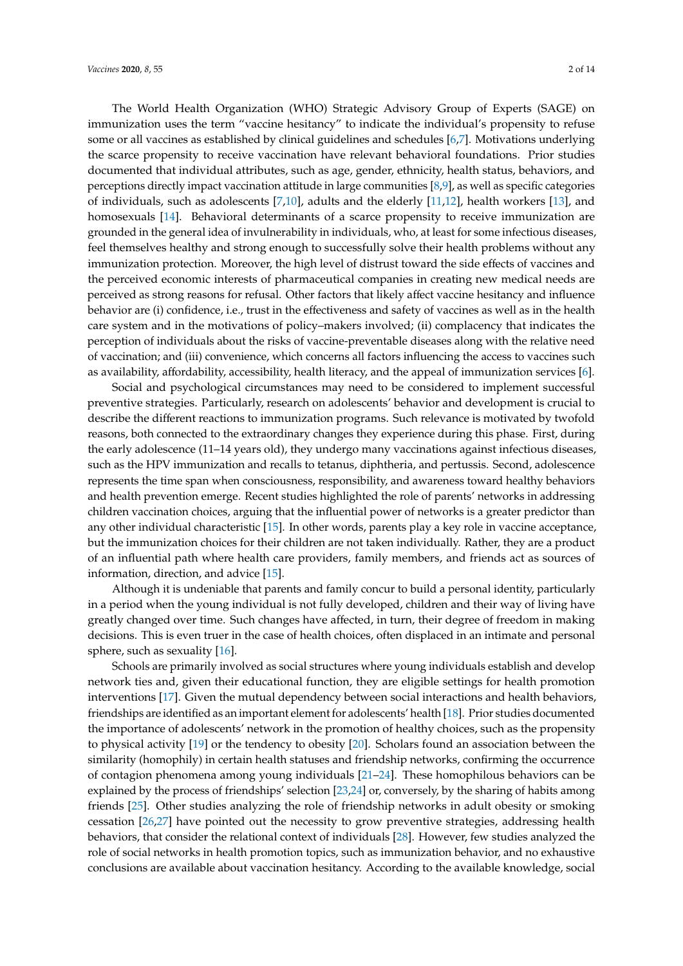The World Health Organization (WHO) Strategic Advisory Group of Experts (SAGE) on immunization uses the term "vaccine hesitancy" to indicate the individual's propensity to refuse some or all vaccines as established by clinical guidelines and schedules [\[6,](#page-11-5)[7\]](#page-11-6). Motivations underlying the scarce propensity to receive vaccination have relevant behavioral foundations. Prior studies documented that individual attributes, such as age, gender, ethnicity, health status, behaviors, and perceptions directly impact vaccination attitude in large communities [\[8](#page-11-7)[,9\]](#page-11-8), as well as specific categories of individuals, such as adolescents [\[7](#page-11-6)[,10\]](#page-11-9), adults and the elderly [\[11](#page-11-10)[,12\]](#page-11-11), health workers [\[13\]](#page-11-12), and homosexuals [\[14\]](#page-12-0). Behavioral determinants of a scarce propensity to receive immunization are grounded in the general idea of invulnerability in individuals, who, at least for some infectious diseases, feel themselves healthy and strong enough to successfully solve their health problems without any immunization protection. Moreover, the high level of distrust toward the side effects of vaccines and the perceived economic interests of pharmaceutical companies in creating new medical needs are perceived as strong reasons for refusal. Other factors that likely affect vaccine hesitancy and influence behavior are (i) confidence, i.e., trust in the effectiveness and safety of vaccines as well as in the health care system and in the motivations of policy–makers involved; (ii) complacency that indicates the perception of individuals about the risks of vaccine-preventable diseases along with the relative need of vaccination; and (iii) convenience, which concerns all factors influencing the access to vaccines such as availability, affordability, accessibility, health literacy, and the appeal of immunization services [\[6\]](#page-11-5).

Social and psychological circumstances may need to be considered to implement successful preventive strategies. Particularly, research on adolescents' behavior and development is crucial to describe the different reactions to immunization programs. Such relevance is motivated by twofold reasons, both connected to the extraordinary changes they experience during this phase. First, during the early adolescence (11–14 years old), they undergo many vaccinations against infectious diseases, such as the HPV immunization and recalls to tetanus, diphtheria, and pertussis. Second, adolescence represents the time span when consciousness, responsibility, and awareness toward healthy behaviors and health prevention emerge. Recent studies highlighted the role of parents' networks in addressing children vaccination choices, arguing that the influential power of networks is a greater predictor than any other individual characteristic [\[15\]](#page-12-1). In other words, parents play a key role in vaccine acceptance, but the immunization choices for their children are not taken individually. Rather, they are a product of an influential path where health care providers, family members, and friends act as sources of information, direction, and advice [\[15\]](#page-12-1).

Although it is undeniable that parents and family concur to build a personal identity, particularly in a period when the young individual is not fully developed, children and their way of living have greatly changed over time. Such changes have affected, in turn, their degree of freedom in making decisions. This is even truer in the case of health choices, often displaced in an intimate and personal sphere, such as sexuality [\[16\]](#page-12-2).

Schools are primarily involved as social structures where young individuals establish and develop network ties and, given their educational function, they are eligible settings for health promotion interventions [\[17\]](#page-12-3). Given the mutual dependency between social interactions and health behaviors, friendships are identified as an important element for adolescents' health [\[18\]](#page-12-4). Prior studies documented the importance of adolescents' network in the promotion of healthy choices, such as the propensity to physical activity [\[19\]](#page-12-5) or the tendency to obesity [\[20\]](#page-12-6). Scholars found an association between the similarity (homophily) in certain health statuses and friendship networks, confirming the occurrence of contagion phenomena among young individuals [\[21](#page-12-7)[–24\]](#page-12-8). These homophilous behaviors can be explained by the process of friendships' selection [\[23,](#page-12-9)[24\]](#page-12-8) or, conversely, by the sharing of habits among friends [\[25\]](#page-12-10). Other studies analyzing the role of friendship networks in adult obesity or smoking cessation [\[26,](#page-12-11)[27\]](#page-12-12) have pointed out the necessity to grow preventive strategies, addressing health behaviors, that consider the relational context of individuals [\[28\]](#page-12-13). However, few studies analyzed the role of social networks in health promotion topics, such as immunization behavior, and no exhaustive conclusions are available about vaccination hesitancy. According to the available knowledge, social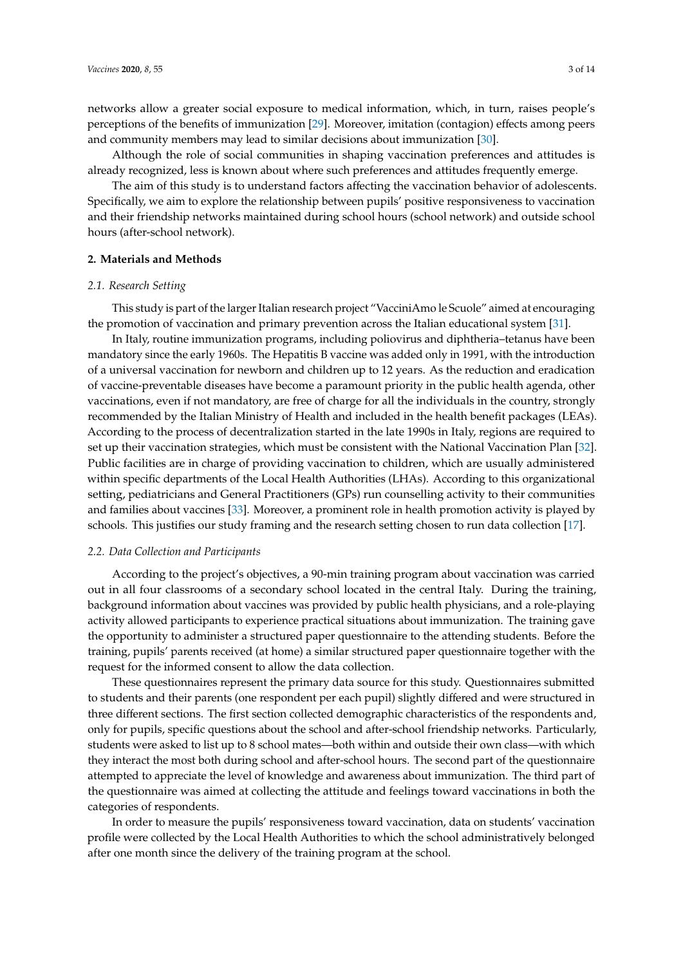networks allow a greater social exposure to medical information, which, in turn, raises people's perceptions of the benefits of immunization [\[29\]](#page-12-14). Moreover, imitation (contagion) effects among peers and community members may lead to similar decisions about immunization [\[30\]](#page-12-15).

Although the role of social communities in shaping vaccination preferences and attitudes is already recognized, less is known about where such preferences and attitudes frequently emerge.

The aim of this study is to understand factors affecting the vaccination behavior of adolescents. Specifically, we aim to explore the relationship between pupils' positive responsiveness to vaccination and their friendship networks maintained during school hours (school network) and outside school hours (after-school network).

#### **2. Materials and Methods**

## *2.1. Research Setting*

This study is part of the larger Italian research project "VacciniAmo le Scuole" aimed at encouraging the promotion of vaccination and primary prevention across the Italian educational system [\[31\]](#page-12-16).

In Italy, routine immunization programs, including poliovirus and diphtheria–tetanus have been mandatory since the early 1960s. The Hepatitis B vaccine was added only in 1991, with the introduction of a universal vaccination for newborn and children up to 12 years. As the reduction and eradication of vaccine-preventable diseases have become a paramount priority in the public health agenda, other vaccinations, even if not mandatory, are free of charge for all the individuals in the country, strongly recommended by the Italian Ministry of Health and included in the health benefit packages (LEAs). According to the process of decentralization started in the late 1990s in Italy, regions are required to set up their vaccination strategies, which must be consistent with the National Vaccination Plan [\[32\]](#page-12-17). Public facilities are in charge of providing vaccination to children, which are usually administered within specific departments of the Local Health Authorities (LHAs). According to this organizational setting, pediatricians and General Practitioners (GPs) run counselling activity to their communities and families about vaccines [\[33\]](#page-12-18). Moreover, a prominent role in health promotion activity is played by schools. This justifies our study framing and the research setting chosen to run data collection [\[17\]](#page-12-3).

#### *2.2. Data Collection and Participants*

According to the project's objectives, a 90-min training program about vaccination was carried out in all four classrooms of a secondary school located in the central Italy. During the training, background information about vaccines was provided by public health physicians, and a role-playing activity allowed participants to experience practical situations about immunization. The training gave the opportunity to administer a structured paper questionnaire to the attending students. Before the training, pupils' parents received (at home) a similar structured paper questionnaire together with the request for the informed consent to allow the data collection.

These questionnaires represent the primary data source for this study. Questionnaires submitted to students and their parents (one respondent per each pupil) slightly differed and were structured in three different sections. The first section collected demographic characteristics of the respondents and, only for pupils, specific questions about the school and after-school friendship networks. Particularly, students were asked to list up to 8 school mates—both within and outside their own class—with which they interact the most both during school and after-school hours. The second part of the questionnaire attempted to appreciate the level of knowledge and awareness about immunization. The third part of the questionnaire was aimed at collecting the attitude and feelings toward vaccinations in both the categories of respondents.

In order to measure the pupils' responsiveness toward vaccination, data on students' vaccination profile were collected by the Local Health Authorities to which the school administratively belonged after one month since the delivery of the training program at the school.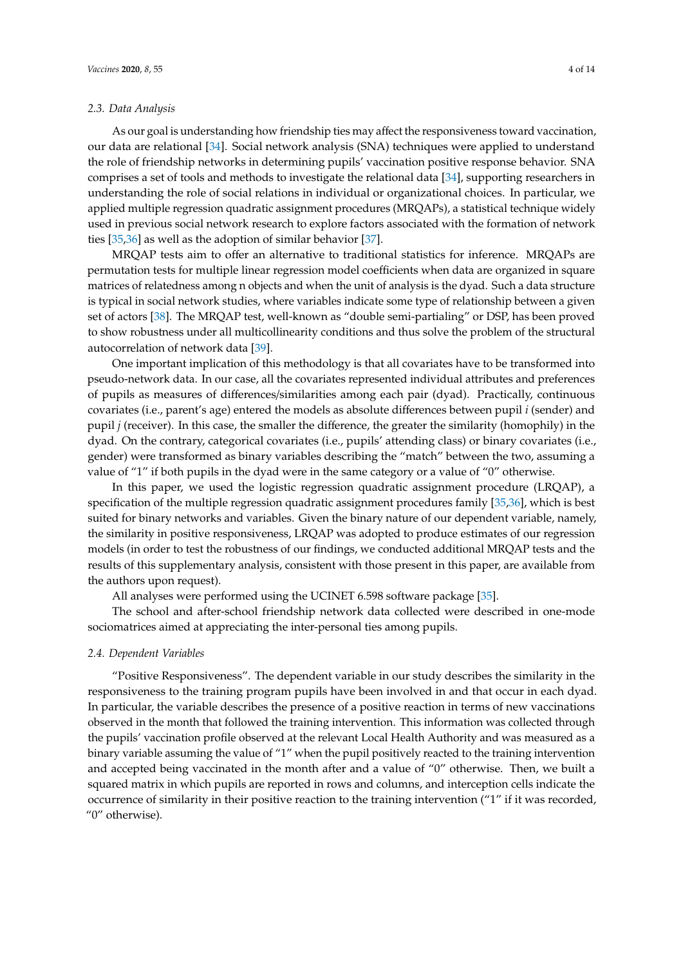# *2.3. Data Analysis*

As our goal is understanding how friendship ties may affect the responsiveness toward vaccination, our data are relational [\[34\]](#page-12-19). Social network analysis (SNA) techniques were applied to understand the role of friendship networks in determining pupils' vaccination positive response behavior. SNA comprises a set of tools and methods to investigate the relational data [\[34\]](#page-12-19), supporting researchers in understanding the role of social relations in individual or organizational choices. In particular, we applied multiple regression quadratic assignment procedures (MRQAPs), a statistical technique widely used in previous social network research to explore factors associated with the formation of network ties [\[35](#page-12-20)[,36\]](#page-12-21) as well as the adoption of similar behavior [\[37\]](#page-12-22).

MRQAP tests aim to offer an alternative to traditional statistics for inference. MRQAPs are permutation tests for multiple linear regression model coefficients when data are organized in square matrices of relatedness among n objects and when the unit of analysis is the dyad. Such a data structure is typical in social network studies, where variables indicate some type of relationship between a given set of actors [\[38\]](#page-12-23). The MRQAP test, well-known as "double semi-partialing" or DSP, has been proved to show robustness under all multicollinearity conditions and thus solve the problem of the structural autocorrelation of network data [\[39\]](#page-13-0).

One important implication of this methodology is that all covariates have to be transformed into pseudo-network data. In our case, all the covariates represented individual attributes and preferences of pupils as measures of differences/similarities among each pair (dyad). Practically, continuous covariates (i.e., parent's age) entered the models as absolute differences between pupil *i* (sender) and pupil *j* (receiver). In this case, the smaller the difference, the greater the similarity (homophily) in the dyad. On the contrary, categorical covariates (i.e., pupils' attending class) or binary covariates (i.e., gender) were transformed as binary variables describing the "match" between the two, assuming a value of "1" if both pupils in the dyad were in the same category or a value of "0" otherwise.

In this paper, we used the logistic regression quadratic assignment procedure (LRQAP), a specification of the multiple regression quadratic assignment procedures family [\[35,](#page-12-20)[36\]](#page-12-21), which is best suited for binary networks and variables. Given the binary nature of our dependent variable, namely, the similarity in positive responsiveness, LRQAP was adopted to produce estimates of our regression models (in order to test the robustness of our findings, we conducted additional MRQAP tests and the results of this supplementary analysis, consistent with those present in this paper, are available from the authors upon request).

All analyses were performed using the UCINET 6.598 software package [\[35\]](#page-12-20).

The school and after-school friendship network data collected were described in one-mode sociomatrices aimed at appreciating the inter-personal ties among pupils.

#### *2.4. Dependent Variables*

"Positive Responsiveness". The dependent variable in our study describes the similarity in the responsiveness to the training program pupils have been involved in and that occur in each dyad. In particular, the variable describes the presence of a positive reaction in terms of new vaccinations observed in the month that followed the training intervention. This information was collected through the pupils' vaccination profile observed at the relevant Local Health Authority and was measured as a binary variable assuming the value of "1" when the pupil positively reacted to the training intervention and accepted being vaccinated in the month after and a value of "0" otherwise. Then, we built a squared matrix in which pupils are reported in rows and columns, and interception cells indicate the occurrence of similarity in their positive reaction to the training intervention ("1" if it was recorded, "0" otherwise).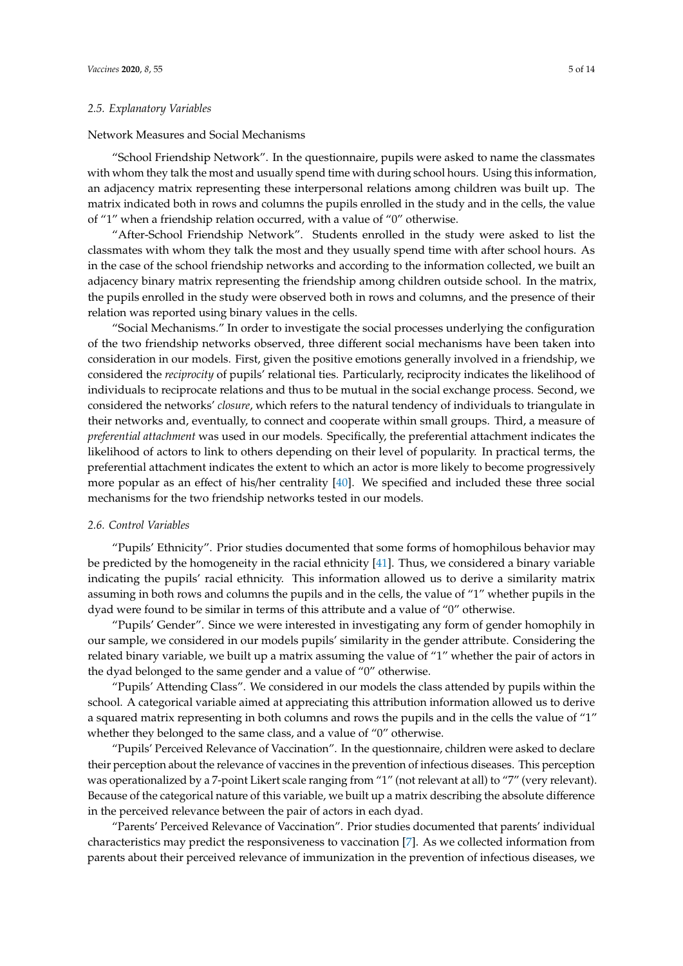# *2.5. Explanatory Variables*

## Network Measures and Social Mechanisms

"School Friendship Network". In the questionnaire, pupils were asked to name the classmates with whom they talk the most and usually spend time with during school hours. Using this information, an adjacency matrix representing these interpersonal relations among children was built up. The matrix indicated both in rows and columns the pupils enrolled in the study and in the cells, the value of "1" when a friendship relation occurred, with a value of "0" otherwise.

"After-School Friendship Network". Students enrolled in the study were asked to list the classmates with whom they talk the most and they usually spend time with after school hours. As in the case of the school friendship networks and according to the information collected, we built an adjacency binary matrix representing the friendship among children outside school. In the matrix, the pupils enrolled in the study were observed both in rows and columns, and the presence of their relation was reported using binary values in the cells.

"Social Mechanisms." In order to investigate the social processes underlying the configuration of the two friendship networks observed, three different social mechanisms have been taken into consideration in our models. First, given the positive emotions generally involved in a friendship, we considered the *reciprocity* of pupils' relational ties. Particularly, reciprocity indicates the likelihood of individuals to reciprocate relations and thus to be mutual in the social exchange process. Second, we considered the networks' *closure*, which refers to the natural tendency of individuals to triangulate in their networks and, eventually, to connect and cooperate within small groups. Third, a measure of *preferential attachment* was used in our models. Specifically, the preferential attachment indicates the likelihood of actors to link to others depending on their level of popularity. In practical terms, the preferential attachment indicates the extent to which an actor is more likely to become progressively more popular as an effect of his/her centrality [\[40\]](#page-13-1). We specified and included these three social mechanisms for the two friendship networks tested in our models.

# *2.6. Control Variables*

"Pupils' Ethnicity". Prior studies documented that some forms of homophilous behavior may be predicted by the homogeneity in the racial ethnicity  $[41]$ . Thus, we considered a binary variable indicating the pupils' racial ethnicity. This information allowed us to derive a similarity matrix assuming in both rows and columns the pupils and in the cells, the value of "1" whether pupils in the dyad were found to be similar in terms of this attribute and a value of "0" otherwise.

"Pupils' Gender". Since we were interested in investigating any form of gender homophily in our sample, we considered in our models pupils' similarity in the gender attribute. Considering the related binary variable, we built up a matrix assuming the value of "1" whether the pair of actors in the dyad belonged to the same gender and a value of "0" otherwise.

"Pupils' Attending Class". We considered in our models the class attended by pupils within the school. A categorical variable aimed at appreciating this attribution information allowed us to derive a squared matrix representing in both columns and rows the pupils and in the cells the value of "1" whether they belonged to the same class, and a value of "0" otherwise.

"Pupils' Perceived Relevance of Vaccination". In the questionnaire, children were asked to declare their perception about the relevance of vaccines in the prevention of infectious diseases. This perception was operationalized by a 7-point Likert scale ranging from "1" (not relevant at all) to "7" (very relevant). Because of the categorical nature of this variable, we built up a matrix describing the absolute difference in the perceived relevance between the pair of actors in each dyad.

"Parents' Perceived Relevance of Vaccination". Prior studies documented that parents' individual characteristics may predict the responsiveness to vaccination [\[7\]](#page-11-6). As we collected information from parents about their perceived relevance of immunization in the prevention of infectious diseases, we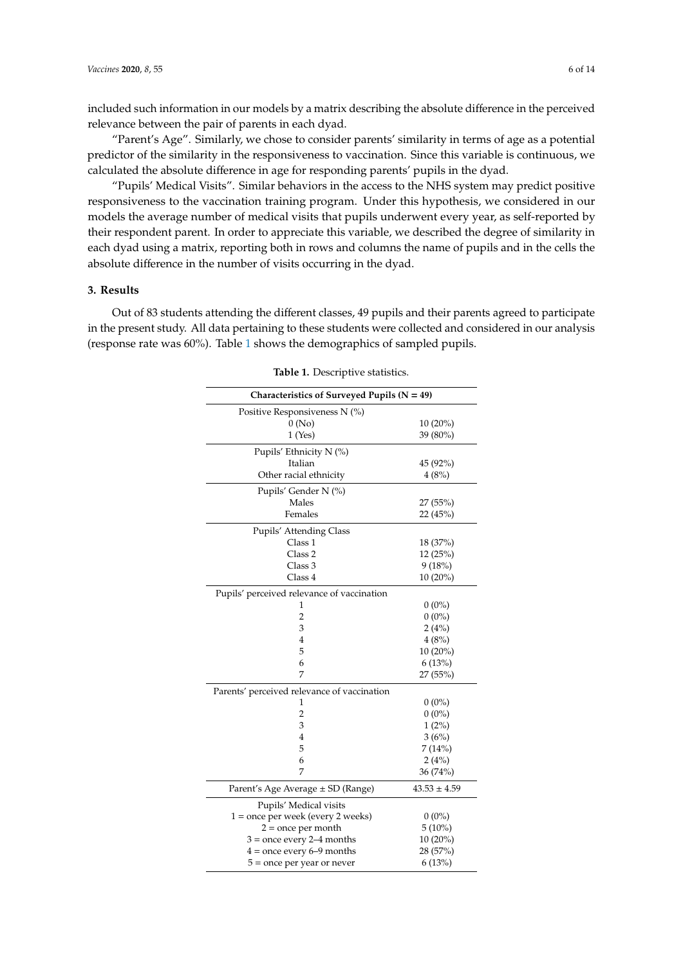included such information in our models by a matrix describing the absolute difference in the perceived relevance between the pair of parents in each dyad.

"Parent's Age". Similarly, we chose to consider parents' similarity in terms of age as a potential predictor of the similarity in the responsiveness to vaccination. Since this variable is continuous, we calculated the absolute difference in age for responding parents' pupils in the dyad.

"Pupils' Medical Visits". Similar behaviors in the access to the NHS system may predict positive responsiveness to the vaccination training program. Under this hypothesis, we considered in our models the average number of medical visits that pupils underwent every year, as self-reported by their respondent parent. In order to appreciate this variable, we described the degree of similarity in each dyad using a matrix, reporting both in rows and columns the name of pupils and in the cells the absolute difference in the number of visits occurring in the dyad.

# **3. Results**

<span id="page-5-0"></span>Out of 83 students attending the different classes, 49 pupils and their parents agreed to participate in the present study. All data pertaining to these students were collected and considered in our analysis (response rate was 60%). Table [1](#page-5-0) shows the demographics of sampled pupils.

| Characteristics of Surveyed Pupils ( $N = 49$ ) |                  |  |  |  |  |  |  |  |
|-------------------------------------------------|------------------|--|--|--|--|--|--|--|
| Positive Responsiveness N (%)                   |                  |  |  |  |  |  |  |  |
| 0(No)                                           | $10(20\%)$       |  |  |  |  |  |  |  |
| 1(Yes)                                          | 39 (80%)         |  |  |  |  |  |  |  |
| Pupils' Ethnicity N (%)                         |                  |  |  |  |  |  |  |  |
| Italian                                         | 45 (92%)         |  |  |  |  |  |  |  |
| Other racial ethnicity                          | 4(8%)            |  |  |  |  |  |  |  |
| Pupils' Gender N (%)                            |                  |  |  |  |  |  |  |  |
| Males                                           | 27 (55%)         |  |  |  |  |  |  |  |
| Females                                         | 22 (45%)         |  |  |  |  |  |  |  |
| Pupils' Attending Class                         |                  |  |  |  |  |  |  |  |
| Class 1                                         | 18 (37%)         |  |  |  |  |  |  |  |
| Class 2                                         | 12(25%)          |  |  |  |  |  |  |  |
| Class 3                                         | 9(18%)           |  |  |  |  |  |  |  |
| Class 4                                         | $10(20\%)$       |  |  |  |  |  |  |  |
| Pupils' perceived relevance of vaccination      |                  |  |  |  |  |  |  |  |
| 1                                               | $0(0\%)$         |  |  |  |  |  |  |  |
| 2                                               | $0(0\%)$         |  |  |  |  |  |  |  |
| 3                                               | 2(4%)            |  |  |  |  |  |  |  |
| 4                                               | 4(8%)            |  |  |  |  |  |  |  |
| 5                                               | $10(20\%)$       |  |  |  |  |  |  |  |
| 6                                               | 6(13%)           |  |  |  |  |  |  |  |
| 7                                               | 27(55%)          |  |  |  |  |  |  |  |
| Parents' perceived relevance of vaccination     |                  |  |  |  |  |  |  |  |
| 1                                               | $0(0\%)$         |  |  |  |  |  |  |  |
| 2                                               | $0(0\%)$         |  |  |  |  |  |  |  |
| 3                                               | 1(2%)            |  |  |  |  |  |  |  |
| 4                                               | 3(6%)            |  |  |  |  |  |  |  |
| 5                                               | 7(14%)           |  |  |  |  |  |  |  |
| 6                                               | 2(4%)            |  |  |  |  |  |  |  |
| 7                                               | 36 (74%)         |  |  |  |  |  |  |  |
| Parent's Age Average ± SD (Range)               | $43.53 \pm 4.59$ |  |  |  |  |  |  |  |
| Pupils' Medical visits                          |                  |  |  |  |  |  |  |  |
| $1 =$ once per week (every 2 weeks)<br>$0(0\%)$ |                  |  |  |  |  |  |  |  |
| $2 =$ once per month                            | $5(10\%)$        |  |  |  |  |  |  |  |
| $3$ = once every 2–4 months<br>$10(20\%)$       |                  |  |  |  |  |  |  |  |
| $4 =$ once every 6–9 months<br>28 (57%)         |                  |  |  |  |  |  |  |  |
| $5 =$ once per year or never                    | 6(13%)           |  |  |  |  |  |  |  |

**Table 1.** Descriptive statistics.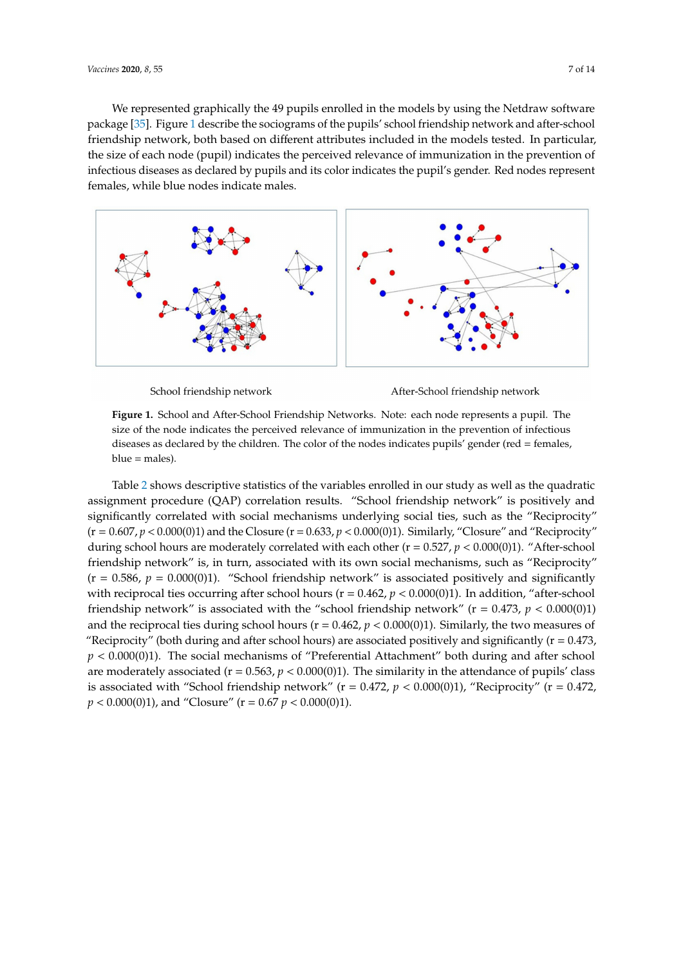We represented graphically the 49 pupils enrolled in the models by using the Netdraw software package [\[35\]](#page-12-20). Figure [1](#page-6-0) describe the sociograms of the pupils' school friendship network and after-school friendship network, both based on different attributes included in the models tested. In particular, the size of each node (pupil) indicates the perceived relevance of immunization in the prevention of infectious diseases as declared by pupils and its color indicates the pupil's gender. Red nodes represent females, while blue nodes indicate males.

<span id="page-6-0"></span>

School friendship network

After-School friendship network

**Figure 1.** School and After-School Friendship Networks. Note: each node represents a pupil. The size of the node indicates the perceived relevance of immunization in the prevention of infectious diseases as declared by the children. The color of the nodes indicates pupils' gender (red = females, blue = males).

Table [2](#page-7-0) shows descriptive statistics of the variables enrolled in our study as well as the quadratic assignment procedure (QAP) correlation results. "School friendship network" is positively and significantly correlated with social mechanisms underlying social ties, such as the "Reciprocity"  $(r = 0.607, p < 0.000(0)1)$  and the Closure  $(r = 0.633, p < 0.000(0)1)$ . Similarly, "Closure" and "Reciprocity" during school hours are moderately correlated with each other (r = 0.527, *p* < 0.000(0)1). "After-school friendship network" is, in turn, associated with its own social mechanisms, such as "Reciprocity"  $(r = 0.586, p = 0.000(0)1)$ . "School friendship network" is associated positively and significantly with reciprocal ties occurring after school hours ( $r = 0.462$ ,  $p < 0.000(0)1$ ). In addition, "after-school friendship network" is associated with the "school friendship network" ( $r = 0.473$ ,  $p < 0.000(0)1$ ) and the reciprocal ties during school hours ( $r = 0.462$ ,  $p < 0.000(0)1$ ). Similarly, the two measures of "Reciprocity" (both during and after school hours) are associated positively and significantly ( $r = 0.473$ , *p* < 0.000(0)1). The social mechanisms of "Preferential Attachment" both during and after school are moderately associated ( $r = 0.563$ ,  $p < 0.000(0)$ 1). The similarity in the attendance of pupils' class is associated with "School friendship network" ( $r = 0.472$ ,  $p < 0.000(0)1$ ), "Reciprocity" ( $r = 0.472$ , *p* < 0.000(0)1), and "Closure" (r = 0.67 *p* < 0.000(0)1).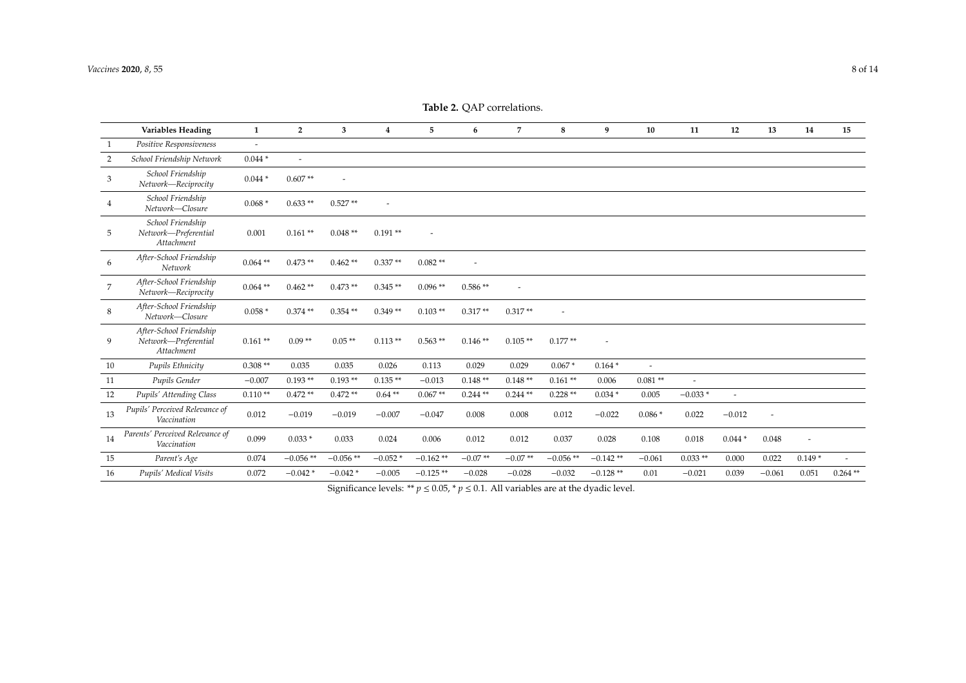<span id="page-7-0"></span>

|                | <b>Variables Heading</b>                                      | $\mathbf{1}$             | $\overline{2}$ | 3          | $\overline{4}$ | 5                     | 6              | $\overline{7}$ | 8          | 9                        | 10        | 11        | 12                       | 13                       | 14             | 15                       |
|----------------|---------------------------------------------------------------|--------------------------|----------------|------------|----------------|-----------------------|----------------|----------------|------------|--------------------------|-----------|-----------|--------------------------|--------------------------|----------------|--------------------------|
| 1              | Positive Responsiveness                                       | $\overline{\phantom{a}}$ |                |            |                |                       |                |                |            |                          |           |           |                          |                          |                |                          |
| $\overline{2}$ | School Friendship Network                                     | $0.044*$                 |                |            |                |                       |                |                |            |                          |           |           |                          |                          |                |                          |
| 3              | School Friendship<br>Network-Reciprocity                      | $0.044*$                 | $0.607**$      |            |                |                       |                |                |            |                          |           |           |                          |                          |                |                          |
| 4              | School Friendship<br>Network-Closure                          | $0.068*$                 | $0.633**$      | $0.527**$  | ٠              |                       |                |                |            |                          |           |           |                          |                          |                |                          |
| 5              | School Friendship<br>Network-Preferential<br>Attachment       | 0.001                    | $0.161**$      | $0.048**$  | $0.191**$      | $\tilde{\phantom{a}}$ |                |                |            |                          |           |           |                          |                          |                |                          |
| 6              | After-School Friendship<br>Network                            | $0.064$ **               | $0.473**$      | $0.462**$  | $0.337**$      | $0.082**$             | $\overline{a}$ |                |            |                          |           |           |                          |                          |                |                          |
| 7              | After-School Friendship<br>Network-Reciprocity                | $0.064$ **               | $0.462**$      | $0.473**$  | $0.345**$      | $0.096**$             | $0.586**$      |                |            |                          |           |           |                          |                          |                |                          |
| 8              | After-School Friendship<br>Network-Closure                    | $0.058*$                 | $0.374**$      | $0.354**$  | $0.349**$      | $0.103**$             | $0.317**$      | $0.317**$      |            |                          |           |           |                          |                          |                |                          |
| 9              | After-School Friendship<br>Network-Preferential<br>Attachment | $0.161**$                | $0.09**$       | $0.05**$   | $0.113**$      | $0.563**$             | $0.146**$      | $0.105**$      | $0.177**$  | $\overline{\phantom{a}}$ |           |           |                          |                          |                |                          |
| 10             | Pupils Ethnicity                                              | $0.308**$                | 0.035          | 0.035      | 0.026          | 0.113                 | 0.029          | 0.029          | $0.067*$   | $0.164*$                 |           |           |                          |                          |                |                          |
| 11             | Pupils Gender                                                 | $-0.007$                 | $0.193**$      | $0.193**$  | $0.135**$      | $-0.013$              | $0.148**$      | $0.148**$      | $0.161**$  | 0.006                    | $0.081**$ |           |                          |                          |                |                          |
| 12             | Pupils' Attending Class                                       | $0.110**$                | $0.472**$      | $0.472**$  | $0.64**$       | $0.067**$             | $0.244$ **     | $0.244$ **     | $0.228**$  | $0.034*$                 | 0.005     | $-0.033*$ | $\overline{\phantom{a}}$ |                          |                |                          |
| 13             | Pupils' Perceived Relevance of<br>Vaccination                 | 0.012                    | $-0.019$       | $-0.019$   | $-0.007$       | $-0.047$              | 0.008          | 0.008          | 0.012      | $-0.022$                 | $0.086*$  | 0.022     | $-0.012$                 | $\overline{\phantom{a}}$ |                |                          |
| 14             | Parents' Perceived Relevance of<br>Vaccination                | 0.099                    | $0.033*$       | 0.033      | 0.024          | 0.006                 | 0.012          | 0.012          | 0.037      | 0.028                    | 0.108     | 0.018     | $0.044*$                 | 0.048                    | $\overline{a}$ |                          |
| 15             | Parent's Age                                                  | 0.074                    | $-0.056$ **    | $-0.056**$ | $-0.052*$      | $-0.162**$            | $-0.07**$      | $-0.07**$      | $-0.056**$ | $-0.142**$               | $-0.061$  | $0.033**$ | 0.000                    | 0.022                    | $0.149*$       | $\overline{\phantom{a}}$ |
| 16             | Pupils' Medical Visits                                        | 0.072                    | $-0.042*$      | $-0.042*$  | $-0.005$       | $-0.125**$            | $-0.028$       | $-0.028$       | $-0.032$   | $-0.128**$               | 0.01      | $-0.021$  | 0.039                    | $-0.061$                 | 0.051          | $0.264**$                |

**Table 2.** QAP correlations.

Significance levels: \*\*  $p \le 0.05$ , \*  $p \le 0.1$ . All variables are at the dyadic level.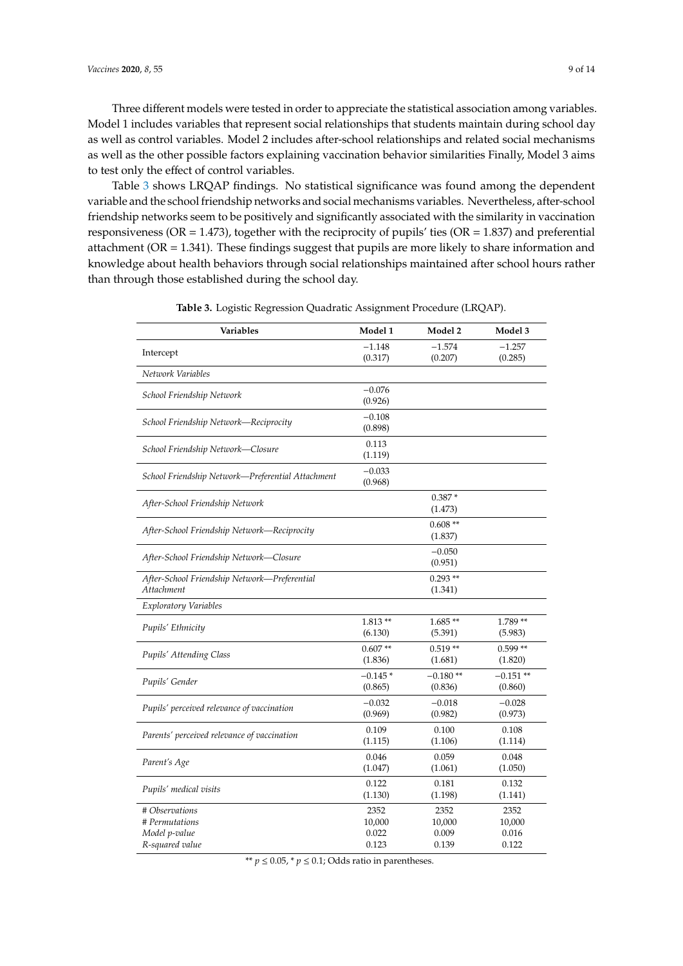Three different models were tested in order to appreciate the statistical association among variables. Model 1 includes variables that represent social relationships that students maintain during school day as well as control variables. Model 2 includes after-school relationships and related social mechanisms as well as the other possible factors explaining vaccination behavior similarities Finally, Model 3 aims to test only the effect of control variables.

Table [3](#page-8-0) shows LRQAP findings. No statistical significance was found among the dependent variable and the school friendship networks and social mechanisms variables. Nevertheless, after-school friendship networks seem to be positively and significantly associated with the similarity in vaccination responsiveness ( $OR = 1.473$ ), together with the reciprocity of pupils' ties ( $OR = 1.837$ ) and preferential attachment (OR = 1.341). These findings suggest that pupils are more likely to share information and knowledge about health behaviors through social relationships maintained after school hours rather than through those established during the school day.

<span id="page-8-0"></span>

| Variables                                                            | Model 1                          | Model 2                          | Model 3                          |
|----------------------------------------------------------------------|----------------------------------|----------------------------------|----------------------------------|
| Intercept                                                            | $-1.148$<br>(0.317)              | $-1.574$<br>(0.207)              | $-1.257$<br>(0.285)              |
| Network Variables                                                    |                                  |                                  |                                  |
| School Friendship Network                                            | $-0.076$<br>(0.926)              |                                  |                                  |
| School Friendship Network-Reciprocity                                | $-0.108$<br>(0.898)              |                                  |                                  |
| School Friendship Network-Closure                                    | 0.113<br>(1.119)                 |                                  |                                  |
| School Friendship Network-Preferential Attachment                    | $-0.033$<br>(0.968)              |                                  |                                  |
| After-School Friendship Network                                      |                                  | $0.387*$<br>(1.473)              |                                  |
| After-School Friendship Network-Reciprocity                          |                                  | $0.608**$<br>(1.837)             |                                  |
| After-School Friendship Network—Closure                              |                                  | $-0.050$<br>(0.951)              |                                  |
| After-School Friendship Network-Preferential<br>Attachment           |                                  | $0.293**$<br>(1.341)             |                                  |
| Exploratory Variables                                                |                                  |                                  |                                  |
| Pupils' Ethnicity                                                    | $1.813**$<br>(6.130)             | $1.685**$<br>(5.391)             | $1.789**$<br>(5.983)             |
| Pupils' Attending Class                                              | $0.607**$<br>(1.836)             | $0.519**$<br>(1.681)             | $0.599**$<br>(1.820)             |
| Pupils' Gender                                                       | $-0.145*$<br>(0.865)             | $-0.180**$<br>(0.836)            | $-0.151$ **<br>(0.860)           |
| Pupils' perceived relevance of vaccination                           | $-0.032$<br>(0.969)              | $-0.018$<br>(0.982)              | $-0.028$<br>(0.973)              |
| Parents' perceived relevance of vaccination                          | 0.109<br>(1.115)                 | 0.100<br>(1.106)                 | 0.108<br>(1.114)                 |
| Parent's Age                                                         | 0.046<br>(1.047)                 | 0.059<br>(1.061)                 | 0.048<br>(1.050)                 |
| Pupils' medical visits                                               | 0.122<br>(1.130)                 | 0.181<br>(1.198)                 | 0.132<br>(1.141)                 |
| # Observations<br># Permutations<br>Model p-value<br>R-squared value | 2352<br>10,000<br>0.022<br>0.123 | 2352<br>10,000<br>0.009<br>0.139 | 2352<br>10,000<br>0.016<br>0.122 |

**Table 3.** Logistic Regression Quadratic Assignment Procedure (LRQAP).

<sup>\*\*</sup> *p* ≤ 0.05, <sup>\*</sup> *p* ≤ 0.1; Odds ratio in parentheses.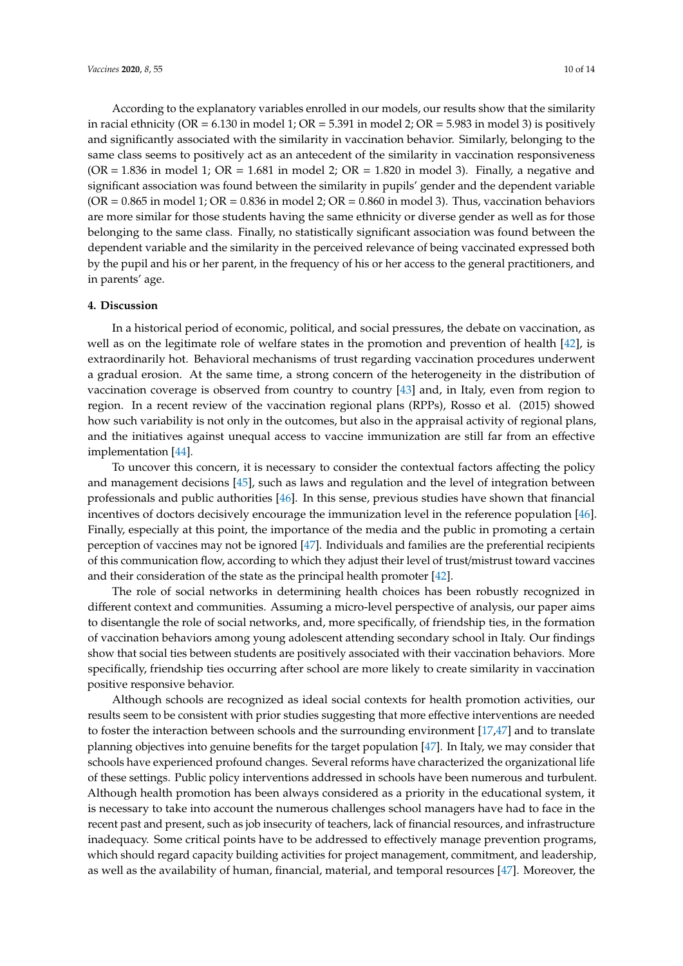According to the explanatory variables enrolled in our models, our results show that the similarity in racial ethnicity (OR =  $6.130$  in model 1; OR =  $5.391$  in model 2; OR =  $5.983$  in model 3) is positively and significantly associated with the similarity in vaccination behavior. Similarly, belonging to the same class seems to positively act as an antecedent of the similarity in vaccination responsiveness  $(OR = 1.836$  in model 1;  $OR = 1.681$  in model 2;  $OR = 1.820$  in model 3). Finally, a negative and significant association was found between the similarity in pupils' gender and the dependent variable  $(OR = 0.865$  in model 1;  $OR = 0.836$  in model 2;  $OR = 0.860$  in model 3). Thus, vaccination behaviors are more similar for those students having the same ethnicity or diverse gender as well as for those belonging to the same class. Finally, no statistically significant association was found between the dependent variable and the similarity in the perceived relevance of being vaccinated expressed both by the pupil and his or her parent, in the frequency of his or her access to the general practitioners, and in parents' age.

# **4. Discussion**

In a historical period of economic, political, and social pressures, the debate on vaccination, as well as on the legitimate role of welfare states in the promotion and prevention of health [\[42\]](#page-13-3), is extraordinarily hot. Behavioral mechanisms of trust regarding vaccination procedures underwent a gradual erosion. At the same time, a strong concern of the heterogeneity in the distribution of vaccination coverage is observed from country to country [\[43\]](#page-13-4) and, in Italy, even from region to region. In a recent review of the vaccination regional plans (RPPs), Rosso et al. (2015) showed how such variability is not only in the outcomes, but also in the appraisal activity of regional plans, and the initiatives against unequal access to vaccine immunization are still far from an effective implementation [\[44\]](#page-13-5).

To uncover this concern, it is necessary to consider the contextual factors affecting the policy and management decisions [\[45\]](#page-13-6), such as laws and regulation and the level of integration between professionals and public authorities [\[46\]](#page-13-7). In this sense, previous studies have shown that financial incentives of doctors decisively encourage the immunization level in the reference population [\[46\]](#page-13-7). Finally, especially at this point, the importance of the media and the public in promoting a certain perception of vaccines may not be ignored [\[47\]](#page-13-8). Individuals and families are the preferential recipients of this communication flow, according to which they adjust their level of trust/mistrust toward vaccines and their consideration of the state as the principal health promoter [\[42\]](#page-13-3).

The role of social networks in determining health choices has been robustly recognized in different context and communities. Assuming a micro-level perspective of analysis, our paper aims to disentangle the role of social networks, and, more specifically, of friendship ties, in the formation of vaccination behaviors among young adolescent attending secondary school in Italy. Our findings show that social ties between students are positively associated with their vaccination behaviors. More specifically, friendship ties occurring after school are more likely to create similarity in vaccination positive responsive behavior.

Although schools are recognized as ideal social contexts for health promotion activities, our results seem to be consistent with prior studies suggesting that more effective interventions are needed to foster the interaction between schools and the surrounding environment [\[17,](#page-12-3)[47\]](#page-13-8) and to translate planning objectives into genuine benefits for the target population [\[47\]](#page-13-8). In Italy, we may consider that schools have experienced profound changes. Several reforms have characterized the organizational life of these settings. Public policy interventions addressed in schools have been numerous and turbulent. Although health promotion has been always considered as a priority in the educational system, it is necessary to take into account the numerous challenges school managers have had to face in the recent past and present, such as job insecurity of teachers, lack of financial resources, and infrastructure inadequacy. Some critical points have to be addressed to effectively manage prevention programs, which should regard capacity building activities for project management, commitment, and leadership, as well as the availability of human, financial, material, and temporal resources [\[47\]](#page-13-8). Moreover, the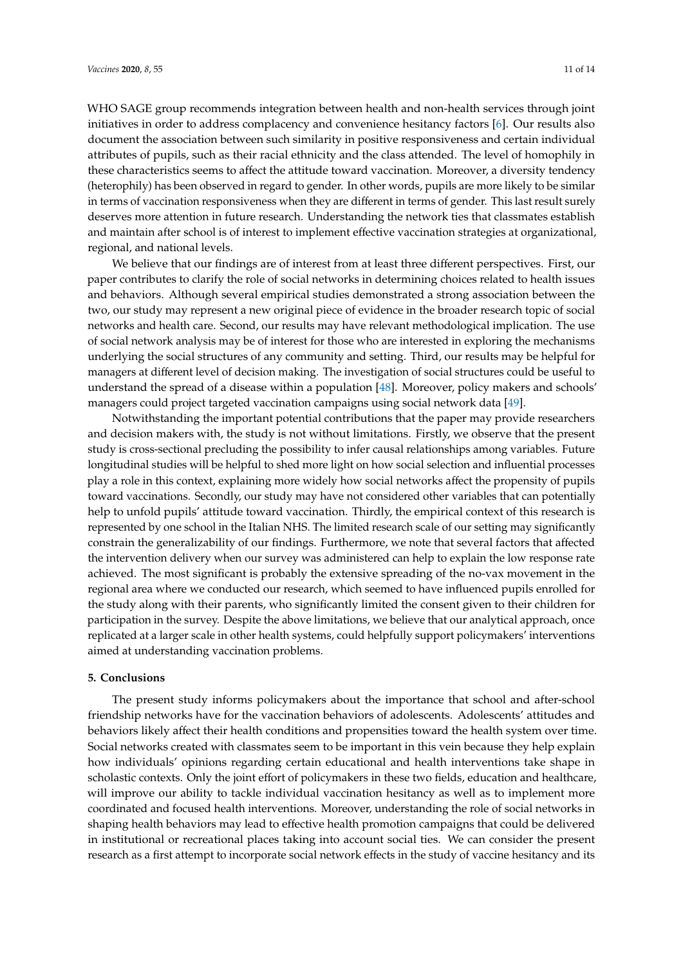WHO SAGE group recommends integration between health and non-health services through joint initiatives in order to address complacency and convenience hesitancy factors [\[6\]](#page-11-5). Our results also document the association between such similarity in positive responsiveness and certain individual attributes of pupils, such as their racial ethnicity and the class attended. The level of homophily in these characteristics seems to affect the attitude toward vaccination. Moreover, a diversity tendency (heterophily) has been observed in regard to gender. In other words, pupils are more likely to be similar in terms of vaccination responsiveness when they are different in terms of gender. This last result surely deserves more attention in future research. Understanding the network ties that classmates establish and maintain after school is of interest to implement effective vaccination strategies at organizational, regional, and national levels.

We believe that our findings are of interest from at least three different perspectives. First, our paper contributes to clarify the role of social networks in determining choices related to health issues and behaviors. Although several empirical studies demonstrated a strong association between the two, our study may represent a new original piece of evidence in the broader research topic of social networks and health care. Second, our results may have relevant methodological implication. The use of social network analysis may be of interest for those who are interested in exploring the mechanisms underlying the social structures of any community and setting. Third, our results may be helpful for managers at different level of decision making. The investigation of social structures could be useful to understand the spread of a disease within a population [\[48\]](#page-13-9). Moreover, policy makers and schools' managers could project targeted vaccination campaigns using social network data [\[49\]](#page-13-10).

Notwithstanding the important potential contributions that the paper may provide researchers and decision makers with, the study is not without limitations. Firstly, we observe that the present study is cross-sectional precluding the possibility to infer causal relationships among variables. Future longitudinal studies will be helpful to shed more light on how social selection and influential processes play a role in this context, explaining more widely how social networks affect the propensity of pupils toward vaccinations. Secondly, our study may have not considered other variables that can potentially help to unfold pupils' attitude toward vaccination. Thirdly, the empirical context of this research is represented by one school in the Italian NHS. The limited research scale of our setting may significantly constrain the generalizability of our findings. Furthermore, we note that several factors that affected the intervention delivery when our survey was administered can help to explain the low response rate achieved. The most significant is probably the extensive spreading of the no-vax movement in the regional area where we conducted our research, which seemed to have influenced pupils enrolled for the study along with their parents, who significantly limited the consent given to their children for participation in the survey. Despite the above limitations, we believe that our analytical approach, once replicated at a larger scale in other health systems, could helpfully support policymakers' interventions aimed at understanding vaccination problems.

#### **5. Conclusions**

The present study informs policymakers about the importance that school and after-school friendship networks have for the vaccination behaviors of adolescents. Adolescents' attitudes and behaviors likely affect their health conditions and propensities toward the health system over time. Social networks created with classmates seem to be important in this vein because they help explain how individuals' opinions regarding certain educational and health interventions take shape in scholastic contexts. Only the joint effort of policymakers in these two fields, education and healthcare, will improve our ability to tackle individual vaccination hesitancy as well as to implement more coordinated and focused health interventions. Moreover, understanding the role of social networks in shaping health behaviors may lead to effective health promotion campaigns that could be delivered in institutional or recreational places taking into account social ties. We can consider the present research as a first attempt to incorporate social network effects in the study of vaccine hesitancy and its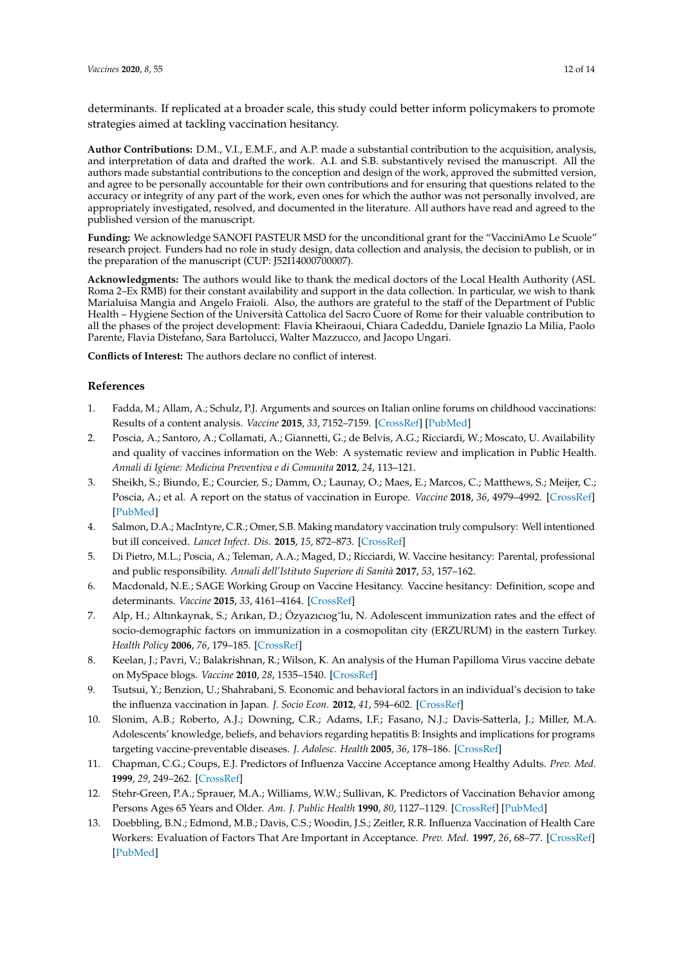determinants. If replicated at a broader scale, this study could better inform policymakers to promote strategies aimed at tackling vaccination hesitancy.

**Author Contributions:** D.M., V.I., E.M.F., and A.P. made a substantial contribution to the acquisition, analysis, and interpretation of data and drafted the work. A.I. and S.B. substantively revised the manuscript. All the authors made substantial contributions to the conception and design of the work, approved the submitted version, and agree to be personally accountable for their own contributions and for ensuring that questions related to the accuracy or integrity of any part of the work, even ones for which the author was not personally involved, are appropriately investigated, resolved, and documented in the literature. All authors have read and agreed to the published version of the manuscript.

**Funding:** We acknowledge SANOFI PASTEUR MSD for the unconditional grant for the "VacciniAmo Le Scuole" research project. Funders had no role in study design, data collection and analysis, the decision to publish, or in the preparation of the manuscript (CUP: J52I14000700007).

**Acknowledgments:** The authors would like to thank the medical doctors of the Local Health Authority (ASL Roma 2–Ex RMB) for their constant availability and support in the data collection. In particular, we wish to thank Marialuisa Mangia and Angelo Fraioli. Also, the authors are grateful to the staff of the Department of Public Health – Hygiene Section of the Università Cattolica del Sacro Cuore of Rome for their valuable contribution to all the phases of the project development: Flavia Kheiraoui, Chiara Cadeddu, Daniele Ignazio La Milia, Paolo Parente, Flavia Distefano, Sara Bartolucci, Walter Mazzucco, and Jacopo Ungari.

**Conflicts of Interest:** The authors declare no conflict of interest.

# **References**

- <span id="page-11-0"></span>1. Fadda, M.; Allam, A.; Schulz, P.J. Arguments and sources on Italian online forums on childhood vaccinations: Results of a content analysis. *Vaccine* **2015**, *33*, 7152–7159. [\[CrossRef\]](http://dx.doi.org/10.1016/j.vaccine.2015.11.007) [\[PubMed\]](http://www.ncbi.nlm.nih.gov/pubmed/26592140)
- <span id="page-11-1"></span>2. Poscia, A.; Santoro, A.; Collamati, A.; Giannetti, G.; de Belvis, A.G.; Ricciardi, W.; Moscato, U. Availability and quality of vaccines information on the Web: A systematic review and implication in Public Health. *Annali di Igiene: Medicina Preventiva e di Comunita* **2012**, *24*, 113–121.
- <span id="page-11-2"></span>3. Sheikh, S.; Biundo, E.; Courcier, S.; Damm, O.; Launay, O.; Maes, E.; Marcos, C.; Matthews, S.; Meijer, C.; Poscia, A.; et al. A report on the status of vaccination in Europe. *Vaccine* **2018**, *36*, 4979–4992. [\[CrossRef\]](http://dx.doi.org/10.1016/j.vaccine.2018.06.044) [\[PubMed\]](http://www.ncbi.nlm.nih.gov/pubmed/30037416)
- <span id="page-11-3"></span>4. Salmon, D.A.; MacIntyre, C.R.; Omer, S.B. Making mandatory vaccination truly compulsory: Well intentioned but ill conceived. *Lancet Infect. Dis.* **2015**, *15*, 872–873. [\[CrossRef\]](http://dx.doi.org/10.1016/S1473-3099(15)00156-5)
- <span id="page-11-4"></span>5. Di Pietro, M.L.; Poscia, A.; Teleman, A.A.; Maged, D.; Ricciardi, W. Vaccine hesitancy: Parental, professional and public responsibility. *Annali dell'Istituto Superiore di Sanità* **2017**, *53*, 157–162.
- <span id="page-11-5"></span>6. Macdonald, N.E.; SAGE Working Group on Vaccine Hesitancy. Vaccine hesitancy: Definition, scope and determinants. *Vaccine* **2015**, *33*, 4161–4164. [\[CrossRef\]](http://dx.doi.org/10.1016/j.vaccine.2015.04.036)
- <span id="page-11-6"></span>7. Alp, H.; Altınkaynak, S.; Arıkan, D.; Özyazıcıog˘lu, N. Adolescent immunization rates and the effect of socio-demographic factors on immunization in a cosmopolitan city (ERZURUM) in the eastern Turkey. *Health Policy* **2006**, *76*, 179–185. [\[CrossRef\]](http://dx.doi.org/10.1016/j.healthpol.2005.06.015)
- <span id="page-11-7"></span>8. Keelan, J.; Pavri, V.; Balakrishnan, R.; Wilson, K. An analysis of the Human Papilloma Virus vaccine debate on MySpace blogs. *Vaccine* **2010**, *28*, 1535–1540. [\[CrossRef\]](http://dx.doi.org/10.1016/j.vaccine.2009.11.060)
- <span id="page-11-8"></span>9. Tsutsui, Y.; Benzion, U.; Shahrabani, S. Economic and behavioral factors in an individual's decision to take the influenza vaccination in Japan. *J. Socio Econ.* **2012**, *41*, 594–602. [\[CrossRef\]](http://dx.doi.org/10.1016/j.socec.2012.05.001)
- <span id="page-11-9"></span>10. Slonim, A.B.; Roberto, A.J.; Downing, C.R.; Adams, I.F.; Fasano, N.J.; Davis-Satterla, J.; Miller, M.A. Adolescents' knowledge, beliefs, and behaviors regarding hepatitis B: Insights and implications for programs targeting vaccine-preventable diseases. *J. Adolesc. Health* **2005**, *36*, 178–186. [\[CrossRef\]](http://dx.doi.org/10.1016/j.jadohealth.2004.08.002)
- <span id="page-11-10"></span>11. Chapman, C.G.; Coups, E.J. Predictors of Influenza Vaccine Acceptance among Healthy Adults. *Prev. Med.* **1999**, *29*, 249–262. [\[CrossRef\]](http://dx.doi.org/10.1006/pmed.1999.0535)
- <span id="page-11-11"></span>12. Stehr-Green, P.A.; Sprauer, M.A.; Williams, W.W.; Sullivan, K. Predictors of Vaccination Behavior among Persons Ages 65 Years and Older. *Am. J. Public Health* **1990**, *80*, 1127–1129. [\[CrossRef\]](http://dx.doi.org/10.2105/AJPH.80.9.1127) [\[PubMed\]](http://www.ncbi.nlm.nih.gov/pubmed/2382756)
- <span id="page-11-12"></span>13. Doebbling, B.N.; Edmond, M.B.; Davis, C.S.; Woodin, J.S.; Zeitler, R.R. Influenza Vaccination of Health Care Workers: Evaluation of Factors That Are Important in Acceptance. *Prev. Med.* **1997**, *26*, 68–77. [\[CrossRef\]](http://dx.doi.org/10.1006/pmed.1996.9991) [\[PubMed\]](http://www.ncbi.nlm.nih.gov/pubmed/9010900)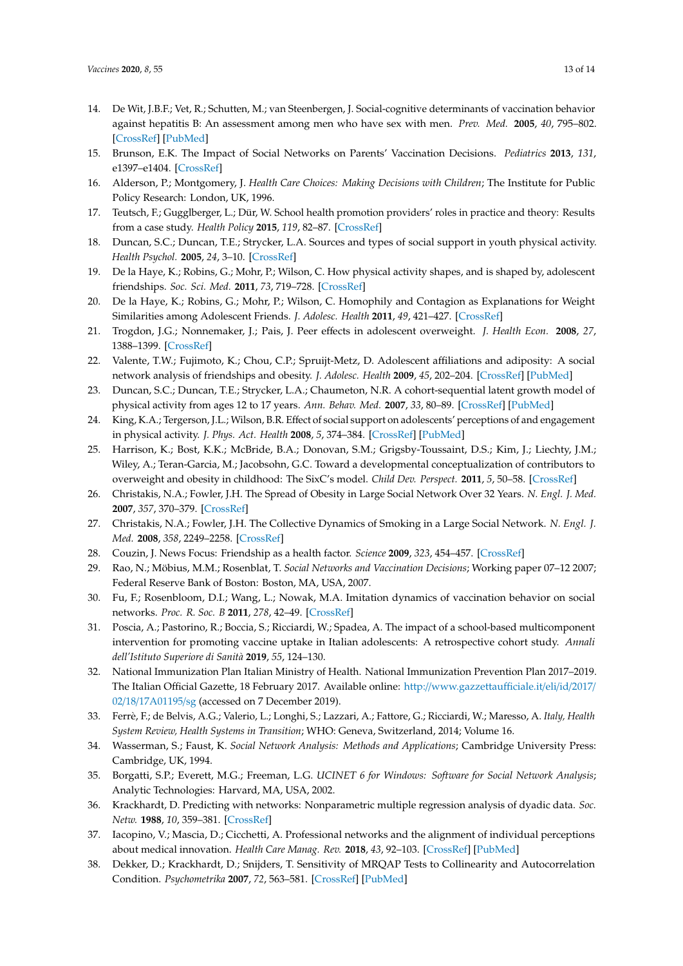- <span id="page-12-0"></span>14. De Wit, J.B.F.; Vet, R.; Schutten, M.; van Steenbergen, J. Social-cognitive determinants of vaccination behavior against hepatitis B: An assessment among men who have sex with men. *Prev. Med.* **2005**, *40*, 795–802. [\[CrossRef\]](http://dx.doi.org/10.1016/j.ypmed.2004.09.026) [\[PubMed\]](http://www.ncbi.nlm.nih.gov/pubmed/15850881)
- <span id="page-12-1"></span>15. Brunson, E.K. The Impact of Social Networks on Parents' Vaccination Decisions. *Pediatrics* **2013**, *131*, e1397–e1404. [\[CrossRef\]](http://dx.doi.org/10.1542/peds.2012-2452)
- <span id="page-12-2"></span>16. Alderson, P.; Montgomery, J. *Health Care Choices: Making Decisions with Children*; The Institute for Public Policy Research: London, UK, 1996.
- <span id="page-12-3"></span>17. Teutsch, F.; Gugglberger, L.; Dür, W. School health promotion providers' roles in practice and theory: Results from a case study. *Health Policy* **2015**, *119*, 82–87. [\[CrossRef\]](http://dx.doi.org/10.1016/j.healthpol.2014.09.004)
- <span id="page-12-4"></span>18. Duncan, S.C.; Duncan, T.E.; Strycker, L.A. Sources and types of social support in youth physical activity. *Health Psychol.* **2005**, *24*, 3–10. [\[CrossRef\]](http://dx.doi.org/10.1037/0278-6133.24.1.3)
- <span id="page-12-5"></span>19. De la Haye, K.; Robins, G.; Mohr, P.; Wilson, C. How physical activity shapes, and is shaped by, adolescent friendships. *Soc. Sci. Med.* **2011**, *73*, 719–728. [\[CrossRef\]](http://dx.doi.org/10.1016/j.socscimed.2011.06.023)
- <span id="page-12-6"></span>20. De la Haye, K.; Robins, G.; Mohr, P.; Wilson, C. Homophily and Contagion as Explanations for Weight Similarities among Adolescent Friends. *J. Adolesc. Health* **2011**, *49*, 421–427. [\[CrossRef\]](http://dx.doi.org/10.1016/j.jadohealth.2011.02.008)
- <span id="page-12-7"></span>21. Trogdon, J.G.; Nonnemaker, J.; Pais, J. Peer effects in adolescent overweight. *J. Health Econ.* **2008**, *27*, 1388–1399. [\[CrossRef\]](http://dx.doi.org/10.1016/j.jhealeco.2008.05.003)
- 22. Valente, T.W.; Fujimoto, K.; Chou, C.P.; Spruijt-Metz, D. Adolescent affiliations and adiposity: A social network analysis of friendships and obesity. *J. Adolesc. Health* **2009**, *45*, 202–204. [\[CrossRef\]](http://dx.doi.org/10.1016/j.jadohealth.2009.01.007) [\[PubMed\]](http://www.ncbi.nlm.nih.gov/pubmed/19628148)
- <span id="page-12-9"></span>23. Duncan, S.C.; Duncan, T.E.; Strycker, L.A.; Chaumeton, N.R. A cohort-sequential latent growth model of physical activity from ages 12 to 17 years. *Ann. Behav. Med.* **2007**, *33*, 80–89. [\[CrossRef\]](http://dx.doi.org/10.1207/s15324796abm3301_9) [\[PubMed\]](http://www.ncbi.nlm.nih.gov/pubmed/17291173)
- <span id="page-12-8"></span>24. King, K.A.; Tergerson, J.L.; Wilson, B.R. Effect of social support on adolescents' perceptions of and engagement in physical activity. *J. Phys. Act. Health* **2008**, *5*, 374–384. [\[CrossRef\]](http://dx.doi.org/10.1123/jpah.5.3.374) [\[PubMed\]](http://www.ncbi.nlm.nih.gov/pubmed/18579916)
- <span id="page-12-10"></span>25. Harrison, K.; Bost, K.K.; McBride, B.A.; Donovan, S.M.; Grigsby-Toussaint, D.S.; Kim, J.; Liechty, J.M.; Wiley, A.; Teran-Garcia, M.; Jacobsohn, G.C. Toward a developmental conceptualization of contributors to overweight and obesity in childhood: The SixC's model. *Child Dev. Perspect.* **2011**, *5*, 50–58. [\[CrossRef\]](http://dx.doi.org/10.1111/j.1750-8606.2010.00150.x)
- <span id="page-12-11"></span>26. Christakis, N.A.; Fowler, J.H. The Spread of Obesity in Large Social Network Over 32 Years. *N. Engl. J. Med.* **2007**, *357*, 370–379. [\[CrossRef\]](http://dx.doi.org/10.1056/NEJMsa066082)
- <span id="page-12-12"></span>27. Christakis, N.A.; Fowler, J.H. The Collective Dynamics of Smoking in a Large Social Network. *N. Engl. J. Med.* **2008**, *358*, 2249–2258. [\[CrossRef\]](http://dx.doi.org/10.1056/NEJMsa0706154)
- <span id="page-12-13"></span>28. Couzin, J. News Focus: Friendship as a health factor. *Science* **2009**, *323*, 454–457. [\[CrossRef\]](http://dx.doi.org/10.1126/science.323.5913.454)
- <span id="page-12-14"></span>29. Rao, N.; Möbius, M.M.; Rosenblat, T. *Social Networks and Vaccination Decisions*; Working paper 07–12 2007; Federal Reserve Bank of Boston: Boston, MA, USA, 2007.
- <span id="page-12-15"></span>30. Fu, F.; Rosenbloom, D.I.; Wang, L.; Nowak, M.A. Imitation dynamics of vaccination behavior on social networks. *Proc. R. Soc. B* **2011**, *278*, 42–49. [\[CrossRef\]](http://dx.doi.org/10.1098/rspb.2010.1107)
- <span id="page-12-16"></span>31. Poscia, A.; Pastorino, R.; Boccia, S.; Ricciardi, W.; Spadea, A. The impact of a school-based multicomponent intervention for promoting vaccine uptake in Italian adolescents: A retrospective cohort study. *Annali dell'Istituto Superiore di Sanità* **2019**, *55*, 124–130.
- <span id="page-12-17"></span>32. National Immunization Plan Italian Ministry of Health. National Immunization Prevention Plan 2017–2019. The Italian Official Gazette, 18 February 2017. Available online: http://[www.gazzettau](http://www.gazzettaufficiale.it/eli/id/2017/02/18/17A01195/sg)fficiale.it/eli/id/2017/ 02/18/[17A01195](http://www.gazzettaufficiale.it/eli/id/2017/02/18/17A01195/sg)/sg (accessed on 7 December 2019).
- <span id="page-12-18"></span>33. Ferrè, F.; de Belvis, A.G.; Valerio, L.; Longhi, S.; Lazzari, A.; Fattore, G.; Ricciardi, W.; Maresso, A. *Italy, Health System Review, Health Systems in Transition*; WHO: Geneva, Switzerland, 2014; Volume 16.
- <span id="page-12-19"></span>34. Wasserman, S.; Faust, K. *Social Network Analysis: Methods and Applications*; Cambridge University Press: Cambridge, UK, 1994.
- <span id="page-12-20"></span>35. Borgatti, S.P.; Everett, M.G.; Freeman, L.G. *UCINET 6 for Windows: Software for Social Network Analysis*; Analytic Technologies: Harvard, MA, USA, 2002.
- <span id="page-12-21"></span>36. Krackhardt, D. Predicting with networks: Nonparametric multiple regression analysis of dyadic data. *Soc. Netw.* **1988**, *10*, 359–381. [\[CrossRef\]](http://dx.doi.org/10.1016/0378-8733(88)90004-4)
- <span id="page-12-22"></span>37. Iacopino, V.; Mascia, D.; Cicchetti, A. Professional networks and the alignment of individual perceptions about medical innovation. *Health Care Manag. Rev.* **2018**, *43*, 92–103. [\[CrossRef\]](http://dx.doi.org/10.1097/HMR.0000000000000132) [\[PubMed\]](http://www.ncbi.nlm.nih.gov/pubmed/27782972)
- <span id="page-12-23"></span>38. Dekker, D.; Krackhardt, D.; Snijders, T. Sensitivity of MRQAP Tests to Collinearity and Autocorrelation Condition. *Psychometrika* **2007**, *72*, 563–581. [\[CrossRef\]](http://dx.doi.org/10.1007/s11336-007-9016-1) [\[PubMed\]](http://www.ncbi.nlm.nih.gov/pubmed/20084106)